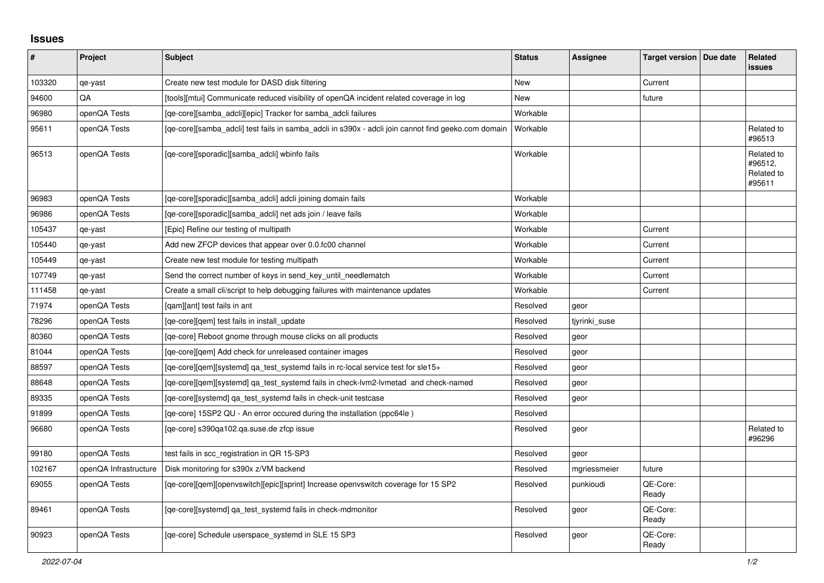## **Issues**

| #      | <b>Project</b>        | <b>Subject</b>                                                                                      | <b>Status</b>   | Assignee      | Target version   Due date | Related<br><b>issues</b>                      |
|--------|-----------------------|-----------------------------------------------------------------------------------------------------|-----------------|---------------|---------------------------|-----------------------------------------------|
| 103320 | qe-yast               | Create new test module for DASD disk filtering                                                      | <b>New</b>      |               | Current                   |                                               |
| 94600  | QA                    | [tools][mtui] Communicate reduced visibility of openQA incident related coverage in log             | New             |               | future                    |                                               |
| 96980  | openQA Tests          | [ge-core][samba adcli][epic] Tracker for samba adcli failures                                       | Workable        |               |                           |                                               |
| 95611  | openQA Tests          | [ge-core][samba adcli] test fails in samba adcli in s390x - adcli join cannot find geeko.com domain | <b>Workable</b> |               |                           | Related to<br>#96513                          |
| 96513  | openQA Tests          | [qe-core][sporadic][samba adcli] wbinfo fails                                                       | Workable        |               |                           | Related to<br>#96512,<br>Related to<br>#95611 |
| 96983  | openQA Tests          | [qe-core][sporadic][samba_adcli] adcli joining domain fails                                         | Workable        |               |                           |                                               |
| 96986  | openQA Tests          | [qe-core][sporadic][samba_adcli] net ads join / leave fails                                         | Workable        |               |                           |                                               |
| 105437 | qe-yast               | [Epic] Refine our testing of multipath                                                              | Workable        |               | Current                   |                                               |
| 105440 | qe-yast               | Add new ZFCP devices that appear over 0.0.fc00 channel                                              | Workable        |               | Current                   |                                               |
| 105449 | qe-yast               | Create new test module for testing multipath                                                        | Workable        |               | Current                   |                                               |
| 107749 | qe-yast               | Send the correct number of keys in send_key_until_needlematch                                       | Workable        |               | Current                   |                                               |
| 111458 | qe-yast               | Create a small cli/script to help debugging failures with maintenance updates                       | Workable        |               | Current                   |                                               |
| 71974  | openQA Tests          | [gam][ant] test fails in ant                                                                        | Resolved        | geor          |                           |                                               |
| 78296  | openQA Tests          | [qe-core][qem] test fails in install update                                                         | Resolved        | tiyrinki suse |                           |                                               |
| 80360  | openQA Tests          | [ge-core] Reboot gnome through mouse clicks on all products                                         | Resolved        | geor          |                           |                                               |
| 81044  | openQA Tests          | [ge-core][gem] Add check for unreleased container images                                            | Resolved        | geor          |                           |                                               |
| 88597  | openQA Tests          | [ge-core][gem][systemd] ga_test_systemd fails in rc-local service test for sle15+                   | Resolved        | geor          |                           |                                               |
| 88648  | openQA Tests          | [qe-core][qem][systemd] qa_test_systemd fails in check-lvm2-lvmetad and check-named                 | Resolved        | geor          |                           |                                               |
| 89335  | openQA Tests          | [qe-core][systemd] qa_test_systemd fails in check-unit testcase                                     | Resolved        | geor          |                           |                                               |
| 91899  | openQA Tests          | [ge-core] 15SP2 QU - An error occured during the installation (ppc64le)                             | Resolved        |               |                           |                                               |
| 96680  | openQA Tests          | [ge-core] s390ga102.ga.suse.de zfcp issue                                                           | Resolved        | geor          |                           | Related to<br>#96296                          |
| 99180  | openQA Tests          | test fails in scc_registration in QR 15-SP3                                                         | Resolved        | geor          |                           |                                               |
| 102167 | openQA Infrastructure | Disk monitoring for s390x z/VM backend                                                              | Resolved        | mgriessmeier  | future                    |                                               |
| 69055  | openQA Tests          | [qe-core][qem][openvswitch][epic][sprint] Increase openvswitch coverage for 15 SP2                  | Resolved        | punkioudi     | QE-Core:<br>Ready         |                                               |
| 89461  | openQA Tests          | [qe-core][systemd] qa_test_systemd fails in check-mdmonitor                                         | Resolved        | geor          | QE-Core:<br>Ready         |                                               |
| 90923  | openQA Tests          | [ge-core] Schedule userspace systemd in SLE 15 SP3                                                  | Resolved        | geor          | QE-Core:<br>Ready         |                                               |